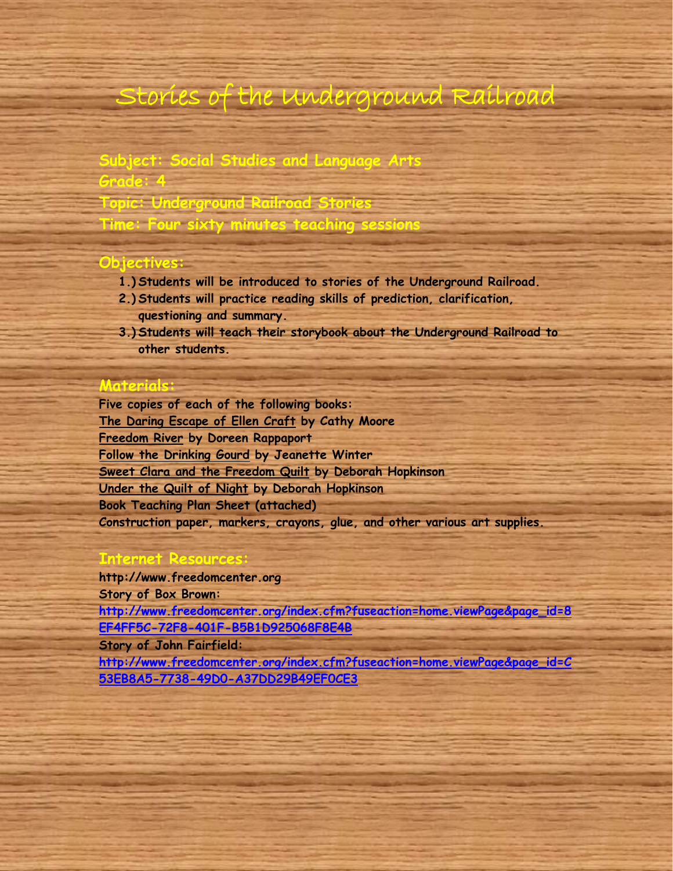# Stories of the Underground Railroad

### **Subject: Social Studies and Language Arts Grade: 4**

**Topic: Underground Railroad Stories**

**Time: Four sixty minutes teaching sessions**

### **Objectives:**

- **1.) Students will be introduced to stories of the Underground Railroad.**
- **2.) Students will practice reading skills of prediction, clarification, questioning and summary.**
- **3.) Students will teach their storybook about the Underground Railroad to other students.**

### **Materials:**

**Five copies of each of the following books: The Daring Escape of Ellen Craft by Cathy Moore Freedom River by Doreen Rappaport Follow the Drinking Gourd by Jeanette Winter Sweet Clara and the Freedom Quilt by Deborah Hopkinson Under the Quilt of Night by Deborah Hopkinson Book Teaching Plan Sheet (attached) Construction paper, markers, crayons, glue, and other various art supplies.**

### **Internet Resources:**

**http://www.freedomcenter.org Story of Box Brown: [http://www.freedomcenter.org/index.cfm?fuseaction=home.viewPage&page\\_id=8](http://www.freedomcenter.org/index.cfm?fuseaction=home.viewPage&page_id=8EF4FF5C-72F8-401F-B5B1D925068F8E4B) [EF4FF5C-72F8-401F-B5B1D925068F8E4B](http://www.freedomcenter.org/index.cfm?fuseaction=home.viewPage&page_id=8EF4FF5C-72F8-401F-B5B1D925068F8E4B) Story of John Fairfield:** 

**[http://www.freedomcenter.org/index.cfm?fuseaction=home.viewPage&page\\_id=C](http://www.freedomcenter.org/index.cfm?fuseaction=home.viewPage&page_id=C53EB8A5-7738-49D0-A37DD29B49EF0CE3) [53EB8A5-7738-49D0-A37DD29B49EF0CE3](http://www.freedomcenter.org/index.cfm?fuseaction=home.viewPage&page_id=C53EB8A5-7738-49D0-A37DD29B49EF0CE3)**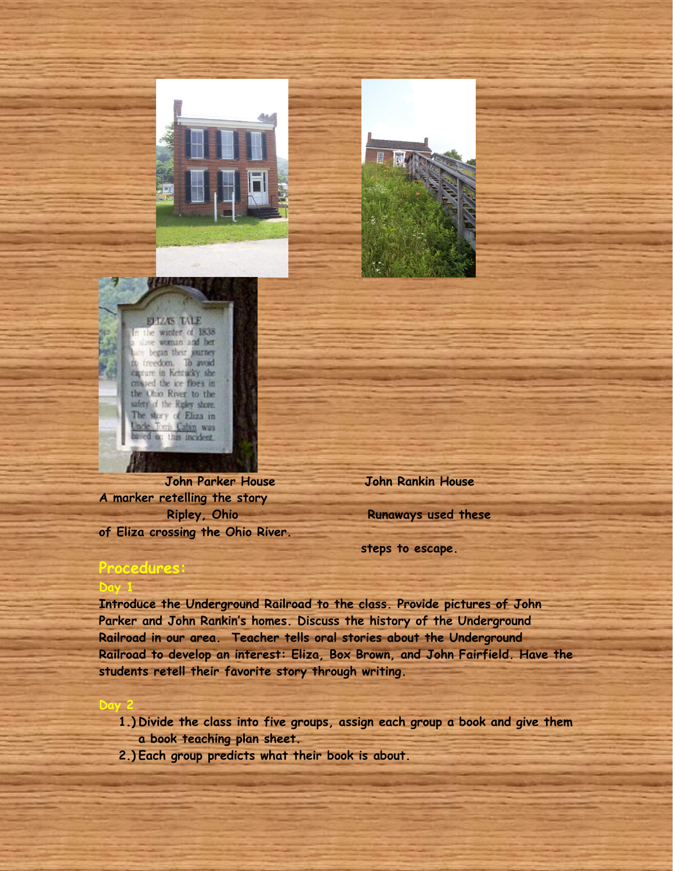



ELIZAS TALE the winter of 1838 woman and her began their garney. ireedom. To awad carture in Keitucky she cassed the ice floes in the Ohio River to the safety of the Rigkey shore. The story of Eliza in Took Cabin was bde ins incalers.

**A marker retelling the story Ripley, Ohio Runaways used these of Eliza crossing the Ohio River.**

 **John Parker House John Rankin House** 

 **steps to escape.**

### **Procedures:**

**Day 1** 

**Day** 

**Introduce the Underground Railroad to the class. Provide pictures of John Parker and John Rankin's homes. Discuss the history of the Underground Railroad in our area. Teacher tells oral stories about the Underground Railroad to develop an interest: Eliza, Box Brown, and John Fairfield. Have the students retell their favorite story through writing.**

- **1.) Divide the class into five groups, assign each group a book and give them a book teaching plan sheet.**
- **2.) Each group predicts what their book is about.**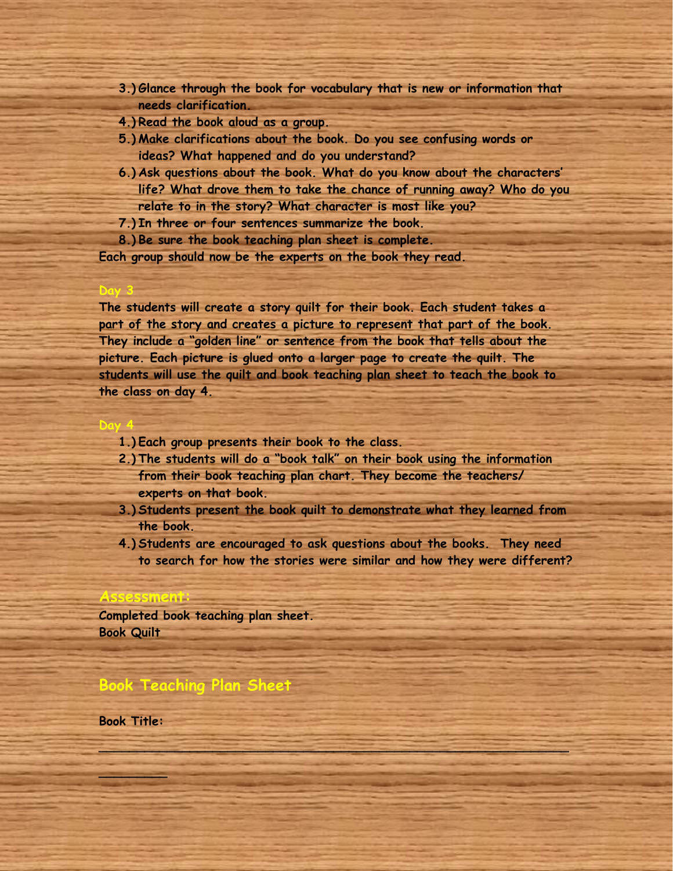- **3.) Glance through the book for vocabulary that is new or information that needs clarification.**
- **4.) Read the book aloud as a group.**
- **5.) Make clarifications about the book. Do you see confusing words or ideas? What happened and do you understand?**
- **6.) Ask questions about the book. What do you know about the characters' life? What drove them to take the chance of running away? Who do you relate to in the story? What character is most like you?**
- **7.) In three or four sentences summarize the book.**
- **8.) Be sure the book teaching plan sheet is complete.**

**Each group should now be the experts on the book they read.** 

**The students will create a story quilt for their book. Each student takes a part of the story and creates a picture to represent that part of the book. They include a "golden line" or sentence from the book that tells about the picture. Each picture is glued onto a larger page to create the quilt. The students will use the quilt and book teaching plan sheet to teach the book to the class on day 4.**

- **1.) Each group presents their book to the class.**
- **2.) The students will do a "book talk" on their book using the information from their book teaching plan chart. They become the teachers/ experts on that book.**
- **3.) Students present the book quilt to demonstrate what they learned from the book.**
- **4.) Students are encouraged to ask questions about the books. They need to search for how the stories were similar and how they were different?**

**\_\_\_\_\_\_\_\_\_\_\_\_\_\_\_\_\_\_\_\_\_\_\_\_\_\_\_\_\_\_\_\_\_\_\_\_\_\_\_\_\_\_\_\_\_\_\_\_\_\_\_\_\_\_\_\_\_\_\_\_\_\_**

#### **Assessment:**

**Day 3**

**Day 4**

**Completed book teaching plan sheet. Book Quilt**

### **Book Teaching Plan Sheet**

**Book Title:** 

**\_\_\_\_\_\_\_\_\_**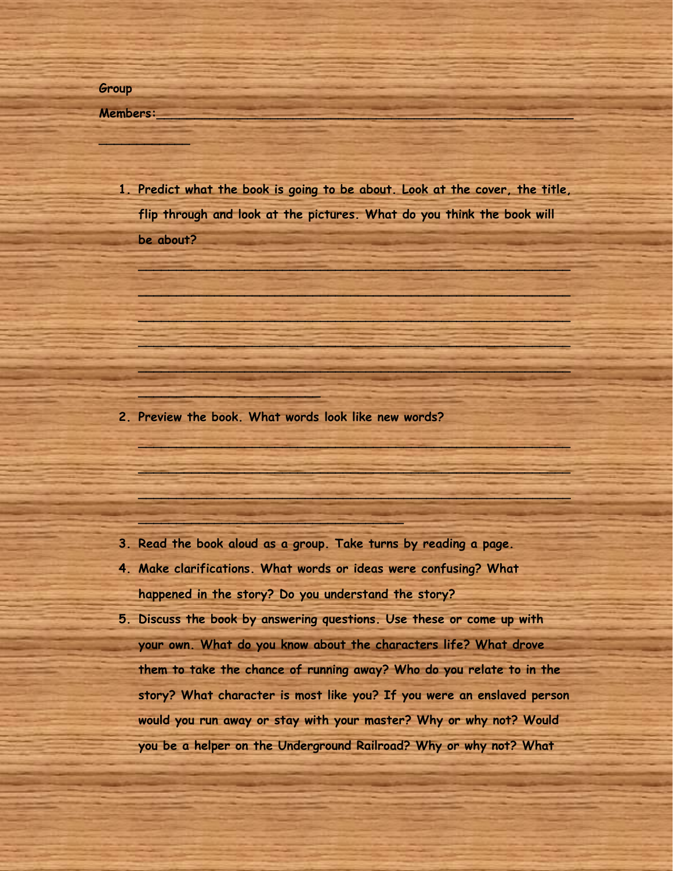#### **Members:\_\_\_\_\_\_\_\_\_\_\_\_\_\_\_\_\_\_\_\_\_\_\_\_\_\_\_\_\_\_\_\_\_\_\_\_\_\_\_\_\_\_\_\_\_\_\_\_\_\_\_\_\_\_\_**

**\_\_\_\_\_\_\_\_\_\_\_\_**

**1. Predict what the book is going to be about. Look at the cover, the title, flip through and look at the pictures. What do you think the book will be about?** 

**\_\_\_\_\_\_\_\_\_\_\_\_\_\_\_\_\_\_\_\_\_\_\_\_\_\_\_\_\_\_\_\_\_\_\_\_\_\_\_\_\_\_\_\_\_\_\_\_\_\_\_\_\_\_\_\_\_**

**\_\_\_\_\_\_\_\_\_\_\_\_\_\_\_\_\_\_\_\_\_\_\_\_\_\_\_\_\_\_\_\_\_\_\_\_\_\_\_\_\_\_\_\_\_\_\_\_\_\_\_\_\_\_\_\_\_**

**\_\_\_\_\_\_\_\_\_\_\_\_\_\_\_\_\_\_\_\_\_\_\_\_\_\_\_\_\_\_\_\_\_\_\_\_\_\_\_\_\_\_\_\_\_\_\_\_\_\_\_\_\_\_\_\_\_**

**\_\_\_\_\_\_\_\_\_\_\_\_\_\_\_\_\_\_\_\_\_\_\_\_\_\_\_\_\_\_\_\_\_\_\_\_\_\_\_\_\_\_\_\_\_\_\_\_\_\_\_\_\_\_\_\_\_**

**\_\_\_\_\_\_\_\_\_\_\_\_\_\_\_\_\_\_\_\_\_\_\_\_\_\_\_\_\_\_\_\_\_\_\_\_\_\_\_\_\_\_\_\_\_\_\_\_\_\_\_\_\_\_\_\_\_**

**\_\_\_\_\_\_\_\_\_\_\_\_\_\_\_\_\_\_\_\_\_\_\_\_\_\_\_\_\_\_\_\_\_\_\_\_\_\_\_\_\_\_\_\_\_\_\_\_\_\_\_\_\_\_\_\_\_**

**\_\_\_\_\_\_\_\_\_\_\_\_\_\_\_\_\_\_\_\_\_\_\_\_\_\_\_\_\_\_\_\_\_\_\_\_\_\_\_\_\_\_\_\_\_\_\_\_\_\_\_\_\_\_\_\_\_**

**\_\_\_\_\_\_\_\_\_\_\_\_\_\_\_\_\_\_\_\_\_\_\_\_\_\_\_\_\_\_\_\_\_\_\_\_\_\_\_\_\_\_\_\_\_\_\_\_\_\_\_\_\_\_\_\_\_**

**2. Preview the book. What words look like new words?** 

**\_\_\_\_\_\_\_\_\_\_\_\_\_\_\_\_\_\_\_\_\_\_\_\_\_\_\_\_\_\_\_\_\_\_\_**

**\_\_\_\_\_\_\_\_\_\_\_\_\_\_\_\_\_\_\_\_\_\_\_\_**

- **3. Read the book aloud as a group. Take turns by reading a page.**
- **4. Make clarifications. What words or ideas were confusing? What happened in the story? Do you understand the story?**
- **5. Discuss the book by answering questions. Use these or come up with your own. What do you know about the characters life? What drove them to take the chance of running away? Who do you relate to in the story? What character is most like you? If you were an enslaved person would you run away or stay with your master? Why or why not? Would you be a helper on the Underground Railroad? Why or why not? What**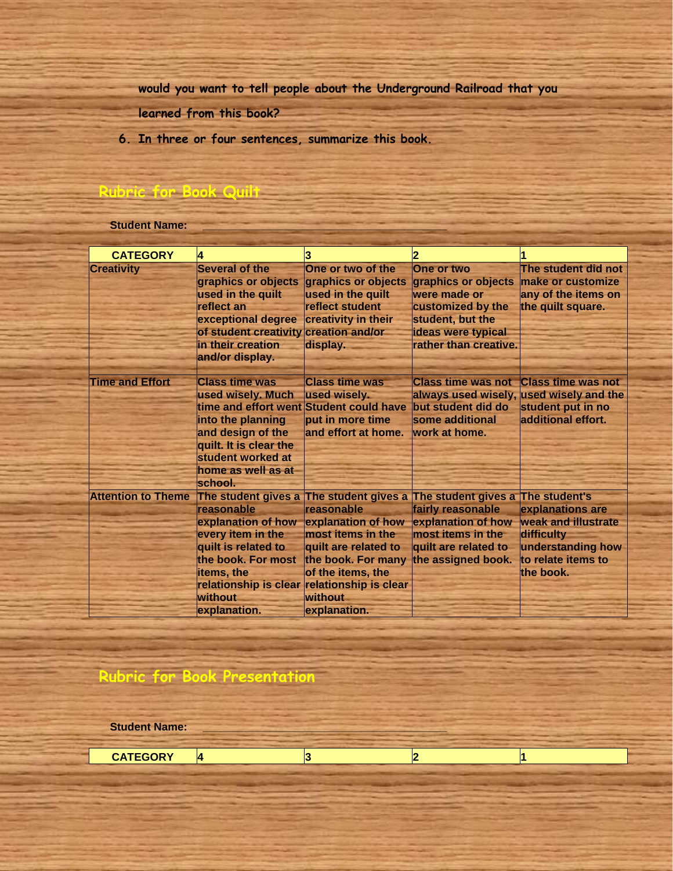**would you want to tell people about the Underground Railroad that you** 

**learned from this book?** 

**6. In three or four sentences, summarize this book.**

### **Rubric for Book Quilt**

**Student Name:** 

| <b>CATEGORY</b>           | 4                                                                                                                                                                                                                                     | 3                                                                                                                                                          | 2                                                                                                                                               |                                                                                                               |
|---------------------------|---------------------------------------------------------------------------------------------------------------------------------------------------------------------------------------------------------------------------------------|------------------------------------------------------------------------------------------------------------------------------------------------------------|-------------------------------------------------------------------------------------------------------------------------------------------------|---------------------------------------------------------------------------------------------------------------|
| <b>Creativity</b>         | Several of the<br>graphics or objects<br>used in the quilt<br>reflect an<br>exceptional degree<br>of student creativity creation and/or<br>in their creation<br>and/or display.                                                       | One or two of the<br>graphics or objects<br>used in the quilt<br>reflect student<br>creativity in their<br>display.                                        | One or two<br>graphics or objects<br>were made or<br>customized by the<br>student, but the<br>ideas were typical<br>rather than creative.       | The student did not<br>make or customize<br>any of the items on<br>the quilt square.                          |
| <b>Time and Effort</b>    | <b>Class time was</b><br>used wisely. Much<br>time and effort went Student could have<br>into the planning<br>and design of the<br>quilt. It is clear the<br>student worked at<br>home as well as at<br>school.                       | <b>Class time was</b><br>used wisely.<br>put in more time<br>and effort at home.                                                                           | <b>Class time was not</b><br>always used wisely,<br>but student did do<br>some additional<br>work at home.                                      | <b>Class time was not</b><br>used wisely and the<br>student put in no<br>additional effort.                   |
| <b>Attention to Theme</b> | The student gives a The student gives a<br>reasonable<br>explanation of how<br>every item in the<br>quilt is related to<br>the book. For most<br>items, the<br>relationship is clear relationship is clear<br>without<br>explanation. | reasonable<br>explanation of how<br>most items in the<br>quilt are related to<br>the book. For many<br>of the items, the<br><b>without</b><br>explanation. | The student gives a The student's<br>fairly reasonable<br>explanation of how<br>most items in the<br>quilt are related to<br>the assigned book. | explanations are<br>weak and illustrate<br>difficulty<br>understanding how<br>to relate items to<br>the book. |

## **Rubric for Book Presentation**

**Student Name:** 

**CATEGORY 4 3 2 1**